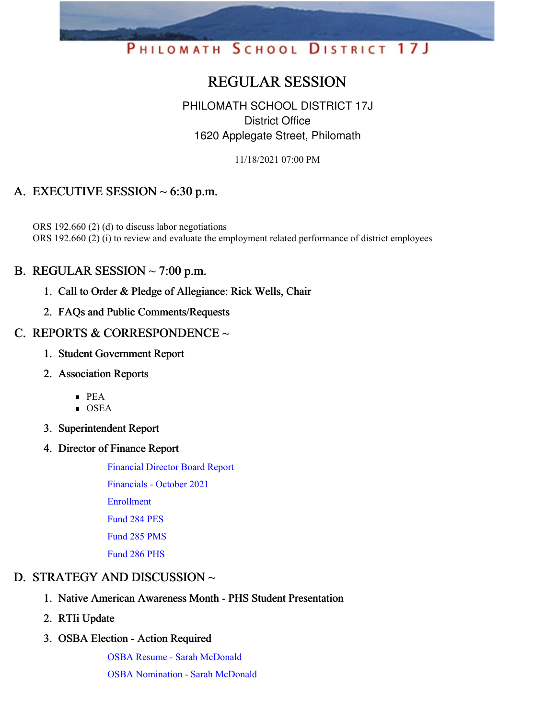# PHILOMATH SCHOOL DISTRICT 17J

# REGULAR SESSION

## PHILOMATH SCHOOL DISTRICT 17J District Office 1620 Applegate Street, Philomath

11/18/2021 07:00 PM

# A. EXECUTIVE SESSION  $\sim$  6:30 p.m.

ORS 192.660 (2) (d) to discuss labor negotiations ORS 192.660 (2) (i) to review and evaluate the employment related performance of district employees

## B. REGULAR SESSION  $\sim$  7:00 p.m.

- 1. Call to Order & Pledge of Allegiance: Rick Wells, Chair
- 2. FAQs and Public Comments/Requests

## C. REPORTS & CORRESPONDENCE ~

- 1. Student Government Report
- 2. Association Reports
	- $\blacksquare$  PEA
	- OSEA
- 3. Superintendent Report
- 4. Director of Finance Report

[Financial](https://app.eduportal.com/documents/view/814193) Director Board Report

[Financials](https://app.eduportal.com/documents/view/814213) - October 2021

[Enrollment](https://app.eduportal.com/documents/view/814188)

[Fund](https://app.eduportal.com/documents/view/814191) 284 PES

[Fund](https://app.eduportal.com/documents/view/814189) 285 PMS

[Fund](https://app.eduportal.com/documents/view/814190) 286 PHS

# D. STRATEGY AND DISCUSSION  $\sim$

- 1. Native American Awareness Month PHS Student Presentation
- 2. RTIi Update
- 3. OSBA Election Action Required

OSBA Resume - Sarah [McDonald](https://app.eduportal.com/documents/view/814201) OSBA [Nomination](https://app.eduportal.com/documents/view/814200) - Sarah McDonald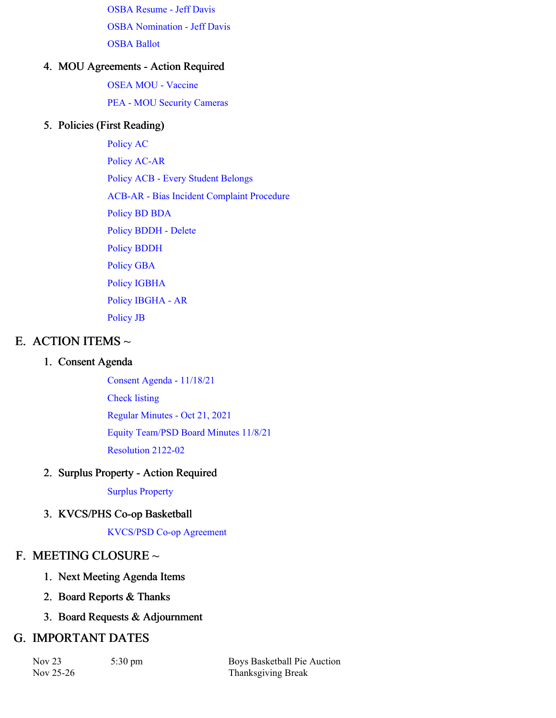OSBA [Resume](https://app.eduportal.com/documents/view/814199) - Jeff Davis OSBA [Nomination](https://app.eduportal.com/documents/view/814198) - Jeff Davis [OSBA](https://app.eduportal.com/documents/view/814226) Ballot

#### 4. MOU Agreements - Action Required

OSEA MOU - [Vaccine](https://app.eduportal.com/documents/view/814301) PEA - MOU Security [Cameras](https://app.eduportal.com/documents/view/814299)

#### 5. Policies (First Reading)

[Policy](https://app.eduportal.com/documents/view/814287) AC Policy [AC-AR](https://app.eduportal.com/documents/view/814288) Policy ACB - Every Student [Belongs](https://app.eduportal.com/documents/view/814296) ACB-AR - Bias Incident [Complaint](https://app.eduportal.com/documents/view/814297) Procedure [Policy](https://app.eduportal.com/documents/view/814289) BD BDA Policy [BDDH](https://app.eduportal.com/documents/view/814290) - Delete Policy [BDDH](https://app.eduportal.com/documents/view/814291) [Policy](https://app.eduportal.com/documents/view/814292) GBA Policy [IGBHA](https://app.eduportal.com/documents/view/814293) Policy [IBGHA](https://app.eduportal.com/documents/view/814294) - AR [Policy](https://app.eduportal.com/documents/view/814295) JB

### E. ACTION ITEMS  $\sim$

#### 1. Consent Agenda

Consent Agenda - [11/18/21](https://app.eduportal.com/documents/view/814933) [Check](https://app.eduportal.com/documents/view/814192) listing Regular [Minutes](https://app.eduportal.com/documents/view/814195) - Oct 21, 2021 Equity [Team/PSD](https://app.eduportal.com/documents/view/814298) Board Minutes 11/8/21 [Resolution](https://app.eduportal.com/documents/view/814194) 2122-02

#### 2. Surplus Property - Action Required

Surplus [Property](https://app.eduportal.com/documents/view/814207)

#### 3. KVCS/PHS Co-op Basketball

[KVCS/PSD](https://app.eduportal.com/documents/view/814196) Co-op Agreement

#### F. MEETING CLOSURE ~

- 1. Next Meeting Agenda Items
- 2. Board Reports & Thanks
- 3. Board Requests & Adjournment

#### G. IMPORTANT DATES

Nov 25-26 Thanksgiving Break

Nov 23 5:30 pm Boys Basketball Pie Auction